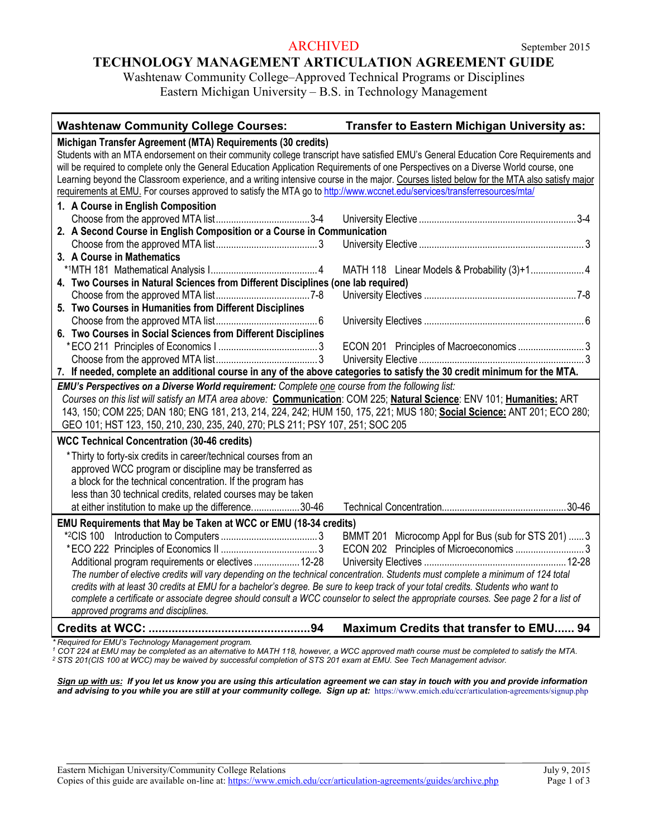#### ARCHIVED September 2015

# **TECHNOLOGY MANAGEMENT ARTICULATION AGREEMENT GUIDE**

Washtenaw Community College–Approved Technical Programs or Disciplines Eastern Michigan University – B.S. in Technology Management

| Michigan Transfer Agreement (MTA) Requirements (30 credits)<br>Students with an MTA endorsement on their community college transcript have satisfied EMU's General Education Core Requirements and<br>will be required to complete only the General Education Application Requirements of one Perspectives on a Diverse World course, one<br>Learning beyond the Classroom experience, and a writing intensive course in the major. Courses listed below for the MTA also satisfy major<br>requirements at EMU. For courses approved to satisfy the MTA go to http://www.wccnet.edu/services/transferresources/mta/<br>1. A Course in English Composition<br>2. A Second Course in English Composition or a Course in Communication<br>3. A Course in Mathematics<br>4. Two Courses in Natural Sciences from Different Disciplines (one lab required)<br>5. Two Courses in Humanities from Different Disciplines<br>6. Two Courses in Social Sciences from Different Disciplines<br>7. If needed, complete an additional course in any of the above categories to satisfy the 30 credit minimum for the MTA. |  |  |
|--------------------------------------------------------------------------------------------------------------------------------------------------------------------------------------------------------------------------------------------------------------------------------------------------------------------------------------------------------------------------------------------------------------------------------------------------------------------------------------------------------------------------------------------------------------------------------------------------------------------------------------------------------------------------------------------------------------------------------------------------------------------------------------------------------------------------------------------------------------------------------------------------------------------------------------------------------------------------------------------------------------------------------------------------------------------------------------------------------------|--|--|
|                                                                                                                                                                                                                                                                                                                                                                                                                                                                                                                                                                                                                                                                                                                                                                                                                                                                                                                                                                                                                                                                                                              |  |  |
|                                                                                                                                                                                                                                                                                                                                                                                                                                                                                                                                                                                                                                                                                                                                                                                                                                                                                                                                                                                                                                                                                                              |  |  |
|                                                                                                                                                                                                                                                                                                                                                                                                                                                                                                                                                                                                                                                                                                                                                                                                                                                                                                                                                                                                                                                                                                              |  |  |
|                                                                                                                                                                                                                                                                                                                                                                                                                                                                                                                                                                                                                                                                                                                                                                                                                                                                                                                                                                                                                                                                                                              |  |  |
|                                                                                                                                                                                                                                                                                                                                                                                                                                                                                                                                                                                                                                                                                                                                                                                                                                                                                                                                                                                                                                                                                                              |  |  |
|                                                                                                                                                                                                                                                                                                                                                                                                                                                                                                                                                                                                                                                                                                                                                                                                                                                                                                                                                                                                                                                                                                              |  |  |
|                                                                                                                                                                                                                                                                                                                                                                                                                                                                                                                                                                                                                                                                                                                                                                                                                                                                                                                                                                                                                                                                                                              |  |  |
|                                                                                                                                                                                                                                                                                                                                                                                                                                                                                                                                                                                                                                                                                                                                                                                                                                                                                                                                                                                                                                                                                                              |  |  |
|                                                                                                                                                                                                                                                                                                                                                                                                                                                                                                                                                                                                                                                                                                                                                                                                                                                                                                                                                                                                                                                                                                              |  |  |
|                                                                                                                                                                                                                                                                                                                                                                                                                                                                                                                                                                                                                                                                                                                                                                                                                                                                                                                                                                                                                                                                                                              |  |  |
|                                                                                                                                                                                                                                                                                                                                                                                                                                                                                                                                                                                                                                                                                                                                                                                                                                                                                                                                                                                                                                                                                                              |  |  |
|                                                                                                                                                                                                                                                                                                                                                                                                                                                                                                                                                                                                                                                                                                                                                                                                                                                                                                                                                                                                                                                                                                              |  |  |
|                                                                                                                                                                                                                                                                                                                                                                                                                                                                                                                                                                                                                                                                                                                                                                                                                                                                                                                                                                                                                                                                                                              |  |  |
|                                                                                                                                                                                                                                                                                                                                                                                                                                                                                                                                                                                                                                                                                                                                                                                                                                                                                                                                                                                                                                                                                                              |  |  |
|                                                                                                                                                                                                                                                                                                                                                                                                                                                                                                                                                                                                                                                                                                                                                                                                                                                                                                                                                                                                                                                                                                              |  |  |
|                                                                                                                                                                                                                                                                                                                                                                                                                                                                                                                                                                                                                                                                                                                                                                                                                                                                                                                                                                                                                                                                                                              |  |  |
|                                                                                                                                                                                                                                                                                                                                                                                                                                                                                                                                                                                                                                                                                                                                                                                                                                                                                                                                                                                                                                                                                                              |  |  |
|                                                                                                                                                                                                                                                                                                                                                                                                                                                                                                                                                                                                                                                                                                                                                                                                                                                                                                                                                                                                                                                                                                              |  |  |
|                                                                                                                                                                                                                                                                                                                                                                                                                                                                                                                                                                                                                                                                                                                                                                                                                                                                                                                                                                                                                                                                                                              |  |  |
| EMU's Perspectives on a Diverse World requirement: Complete one course from the following list:                                                                                                                                                                                                                                                                                                                                                                                                                                                                                                                                                                                                                                                                                                                                                                                                                                                                                                                                                                                                              |  |  |
| Courses on this list will satisfy an MTA area above: Communication: COM 225; Natural Science: ENV 101; Humanities: ART                                                                                                                                                                                                                                                                                                                                                                                                                                                                                                                                                                                                                                                                                                                                                                                                                                                                                                                                                                                       |  |  |
| 143, 150; COM 225; DAN 180; ENG 181, 213, 214, 224, 242; HUM 150, 175, 221; MUS 180; Social Science: ANT 201; ECO 280;                                                                                                                                                                                                                                                                                                                                                                                                                                                                                                                                                                                                                                                                                                                                                                                                                                                                                                                                                                                       |  |  |
| GEO 101; HST 123, 150, 210, 230, 235, 240, 270; PLS 211; PSY 107, 251; SOC 205                                                                                                                                                                                                                                                                                                                                                                                                                                                                                                                                                                                                                                                                                                                                                                                                                                                                                                                                                                                                                               |  |  |
| <b>WCC Technical Concentration (30-46 credits)</b>                                                                                                                                                                                                                                                                                                                                                                                                                                                                                                                                                                                                                                                                                                                                                                                                                                                                                                                                                                                                                                                           |  |  |
| *Thirty to forty-six credits in career/technical courses from an                                                                                                                                                                                                                                                                                                                                                                                                                                                                                                                                                                                                                                                                                                                                                                                                                                                                                                                                                                                                                                             |  |  |
| approved WCC program or discipline may be transferred as                                                                                                                                                                                                                                                                                                                                                                                                                                                                                                                                                                                                                                                                                                                                                                                                                                                                                                                                                                                                                                                     |  |  |
| a block for the technical concentration. If the program has                                                                                                                                                                                                                                                                                                                                                                                                                                                                                                                                                                                                                                                                                                                                                                                                                                                                                                                                                                                                                                                  |  |  |
| less than 30 technical credits, related courses may be taken                                                                                                                                                                                                                                                                                                                                                                                                                                                                                                                                                                                                                                                                                                                                                                                                                                                                                                                                                                                                                                                 |  |  |
| at either institution to make up the difference30-46                                                                                                                                                                                                                                                                                                                                                                                                                                                                                                                                                                                                                                                                                                                                                                                                                                                                                                                                                                                                                                                         |  |  |
| EMU Requirements that May be Taken at WCC or EMU (18-34 credits)                                                                                                                                                                                                                                                                                                                                                                                                                                                                                                                                                                                                                                                                                                                                                                                                                                                                                                                                                                                                                                             |  |  |
| BMMT 201 Microcomp Appl for Bus (sub for STS 201)  3                                                                                                                                                                                                                                                                                                                                                                                                                                                                                                                                                                                                                                                                                                                                                                                                                                                                                                                                                                                                                                                         |  |  |
| ECON 202 Principles of Microeconomics 3                                                                                                                                                                                                                                                                                                                                                                                                                                                                                                                                                                                                                                                                                                                                                                                                                                                                                                                                                                                                                                                                      |  |  |
| Additional program requirements or electives  12-28                                                                                                                                                                                                                                                                                                                                                                                                                                                                                                                                                                                                                                                                                                                                                                                                                                                                                                                                                                                                                                                          |  |  |
| The number of elective credits will vary depending on the technical concentration. Students must complete a minimum of 124 total                                                                                                                                                                                                                                                                                                                                                                                                                                                                                                                                                                                                                                                                                                                                                                                                                                                                                                                                                                             |  |  |
| credits with at least 30 credits at EMU for a bachelor's degree. Be sure to keep track of your total credits. Students who want to                                                                                                                                                                                                                                                                                                                                                                                                                                                                                                                                                                                                                                                                                                                                                                                                                                                                                                                                                                           |  |  |
| complete a certificate or associate degree should consult a WCC counselor to select the appropriate courses. See page 2 for a list of                                                                                                                                                                                                                                                                                                                                                                                                                                                                                                                                                                                                                                                                                                                                                                                                                                                                                                                                                                        |  |  |
| approved programs and disciplines.                                                                                                                                                                                                                                                                                                                                                                                                                                                                                                                                                                                                                                                                                                                                                                                                                                                                                                                                                                                                                                                                           |  |  |
|                                                                                                                                                                                                                                                                                                                                                                                                                                                                                                                                                                                                                                                                                                                                                                                                                                                                                                                                                                                                                                                                                                              |  |  |

*\* Required for EMU's Technology Management program.* 

*<sup>1</sup> COT 224 at EMU may be completed as an alternative to MATH 118, however, a WCC approved math course must be completed to satisfy the MTA. <sup>2</sup> STS 201(CIS 100 at WCC) may be waived by successful completion of STS 201 exam at EMU. See Tech Management advisor.*

*Sign up with us: If you let us know you are using this articulation agreement we can stay in touch with you and provide information and advising to you while you are still at your community college. Sign up at:* https://www.emich.edu/ccr/articulation-agreements/signup.php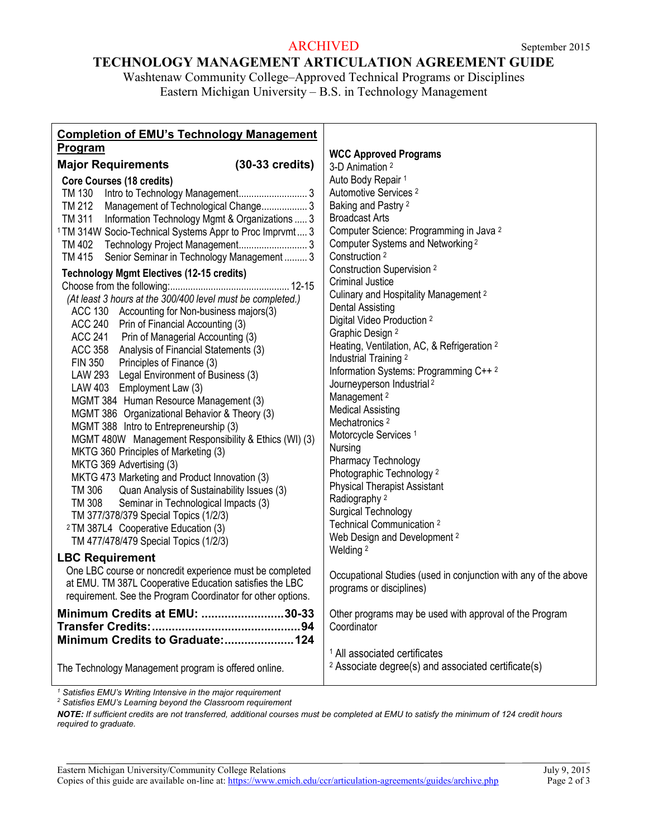## ARCHIVED September 2015

# **TECHNOLOGY MANAGEMENT ARTICULATION AGREEMENT GUIDE**

Washtenaw Community College–Approved Technical Programs or Disciplines Eastern Michigan University – B.S. in Technology Management

| <b>Completion of EMU's Technology Management</b><br><u>Program</u>                                                                                                                                                                                                                                                               | <b>WCC Approved Programs</b>                                                                                                                                                                                                                                                                                         |
|----------------------------------------------------------------------------------------------------------------------------------------------------------------------------------------------------------------------------------------------------------------------------------------------------------------------------------|----------------------------------------------------------------------------------------------------------------------------------------------------------------------------------------------------------------------------------------------------------------------------------------------------------------------|
| $(30-33 \text{ credits})$<br><b>Major Requirements</b>                                                                                                                                                                                                                                                                           | 3-D Animation <sup>2</sup>                                                                                                                                                                                                                                                                                           |
| Core Courses (18 credits)<br>TM 130<br>Management of Technological Change 3<br>TM 212<br>TM 311 Information Technology Mgmt & Organizations  3<br><sup>1</sup> TM 314W Socio-Technical Systems Appr to Proc Imprvmt 3<br>TM 415<br>Senior Seminar in Technology Management 3<br><b>Technology Mgmt Electives (12-15 credits)</b> | Auto Body Repair 1<br>Automotive Services <sup>2</sup><br>Baking and Pastry <sup>2</sup><br><b>Broadcast Arts</b><br>Computer Science: Programming in Java <sup>2</sup><br>Computer Systems and Networking <sup>2</sup><br>Construction <sup>2</sup><br><b>Construction Supervision 2</b><br><b>Criminal Justice</b> |
| (At least 3 hours at the 300/400 level must be completed.)<br>ACC 130 Accounting for Non-business majors(3)<br>ACC 240 Prin of Financial Accounting (3)<br>ACC 241 Prin of Managerial Accounting (3)                                                                                                                             | Culinary and Hospitality Management <sup>2</sup><br><b>Dental Assisting</b><br>Digital Video Production <sup>2</sup><br>Graphic Design <sup>2</sup>                                                                                                                                                                  |
| ACC 358 Analysis of Financial Statements (3)<br>FIN 350 Principles of Finance (3)<br>LAW 293 Legal Environment of Business (3)<br>LAW 403 Employment Law (3)<br>MGMT 384 Human Resource Management (3)                                                                                                                           | Heating, Ventilation, AC, & Refrigeration 2<br>Industrial Training 2<br>Information Systems: Programming C++2<br>Journeyperson Industrial <sup>2</sup><br>Management <sup>2</sup>                                                                                                                                    |
| MGMT 386 Organizational Behavior & Theory (3)<br>MGMT 388 Intro to Entrepreneurship (3)<br>MGMT 480W Management Responsibility & Ethics (WI) (3)<br>MKTG 360 Principles of Marketing (3)<br>MKTG 369 Advertising (3)                                                                                                             | <b>Medical Assisting</b><br>Mechatronics <sup>2</sup><br>Motorcycle Services <sup>1</sup><br>Nursing<br>Pharmacy Technology                                                                                                                                                                                          |
| MKTG 473 Marketing and Product Innovation (3)<br>TM 306 Quan Analysis of Sustainability Issues (3)<br>TM 308 Seminar in Technological Impacts (3)<br>TM 377/378/379 Special Topics (1/2/3)<br><sup>2</sup> TM 387L4 Cooperative Education (3)<br>TM 477/478/479 Special Topics (1/2/3)                                           | Photographic Technology <sup>2</sup><br><b>Physical Therapist Assistant</b><br>Radiography <sup>2</sup><br><b>Surgical Technology</b><br>Technical Communication <sup>2</sup><br>Web Design and Development <sup>2</sup>                                                                                             |
| <b>LBC Requirement</b><br>One LBC course or noncredit experience must be completed<br>at EMU. TM 387L Cooperative Education satisfies the LBC<br>requirement. See the Program Coordinator for other options.                                                                                                                     | Welding <sup>2</sup><br>Occupational Studies (used in conjunction with any of the above<br>programs or disciplines)                                                                                                                                                                                                  |
| Minimum Credits at EMU: 30-33<br>Minimum Credits to Graduate: 124                                                                                                                                                                                                                                                                | Other programs may be used with approval of the Program<br>Coordinator                                                                                                                                                                                                                                               |
| The Technology Management program is offered online.                                                                                                                                                                                                                                                                             | <sup>1</sup> All associated certificates<br><sup>2</sup> Associate degree(s) and associated certificate(s)                                                                                                                                                                                                           |

*<sup>1</sup> Satisfies EMU's Writing Intensive in the major requirement*

*<sup>2</sup> Satisfies EMU's Learning beyond the Classroom requirement*

*NOTE: If sufficient credits are not transferred, additional courses must be completed at EMU to satisfy the minimum of 124 credit hours required to graduate.*